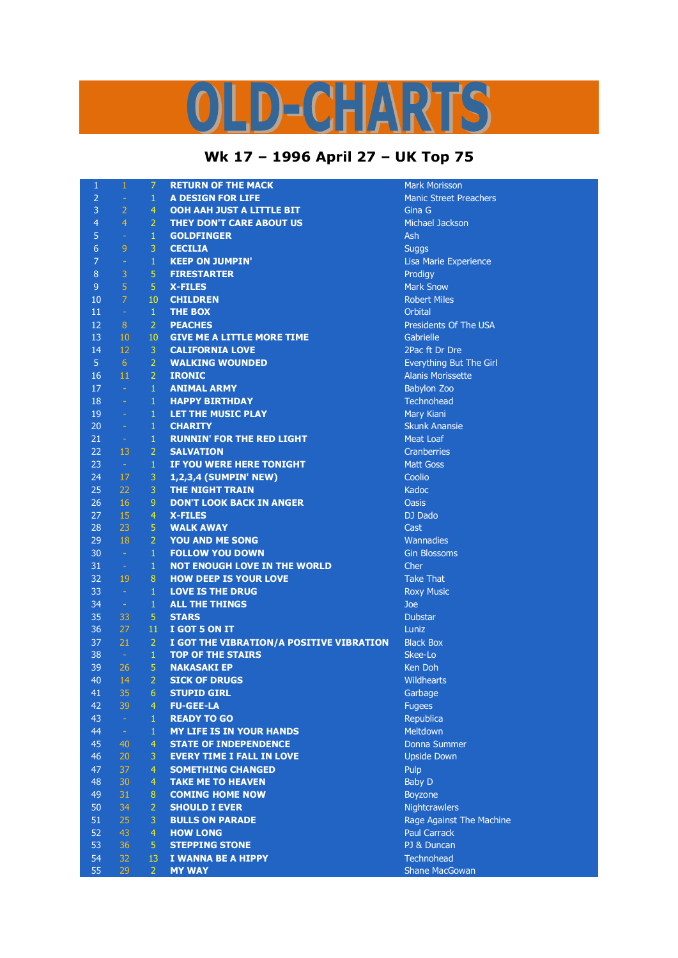## D-CHARTS

## **Wk 17 – 1996 April 27 – UK Top 75**

| $\mathbf{1}$    | $\mathbf{1}$     | $\mathcal{I}$    | <b>RETURN OF THE MACK</b>                | <b>Mark Morisson</b>          |
|-----------------|------------------|------------------|------------------------------------------|-------------------------------|
| $\overline{2}$  | $\omega_{\rm c}$ | $\mathbf{1}$     | <b>A DESIGN FOR LIFE</b>                 | <b>Manic Street Preachers</b> |
| $\overline{3}$  | $\overline{2}$   | $\overline{4}$   | OOH AAH JUST A LITTLE BIT                | Gina G                        |
| $\overline{4}$  | $\overline{4}$   | $\overline{2}$   | THEY DON'T CARE ABOUT US                 | <b>Michael Jackson</b>        |
| 5               | $\omega$         | $\mathbf{1}$     | <b>GOLDFINGER</b>                        | Ash                           |
| $6\phantom{1}6$ | 9                | 3                | <b>CECILIA</b>                           | <b>Suggs</b>                  |
| $\overline{7}$  | $\equiv$         | $\,1\,$          | <b>KEEP ON JUMPIN'</b>                   | Lisa Marie Experience         |
| $\,8\,$         | $\overline{3}$   | 5                | <b>FIRESTARTER</b>                       | Prodigy                       |
| $\overline{9}$  | $\overline{5}$   | 5                | <b>X-FILES</b>                           | <b>Mark Snow</b>              |
| 10              | $\overline{7}$   | 10               | <b>CHILDREN</b>                          | <b>Robert Miles</b>           |
| 11              | $\sim$           | $\mathbf{1}$     | <b>THE BOX</b>                           | Orbital                       |
| 12              | 8                | $\overline{2}$   | <b>PEACHES</b>                           | Presidents Of The USA         |
| 13              | 10               | 10               | <b>GIVE ME A LITTLE MORE TIME</b>        | Gabrielle                     |
| 14              | 12               | $\mathbf{3}$     | <b>CALIFORNIA LOVE</b>                   | 2Pac ft Dr Dre                |
| 5 <sub>5</sub>  | 6 <sup>1</sup>   | $\overline{2}$   | <b>WALKING WOUNDED</b>                   | Everything But The Girl       |
| 16              | 11               | $\overline{2}$   | <b>IRONIC</b>                            | <b>Alanis Morissette</b>      |
| 17              | $\sim$           | $\mathbf{1}$     | <b>ANIMAL ARMY</b>                       | <b>Babylon Zoo</b>            |
| 18              | $\omega$         | $\mathbf{1}$     | <b>HAPPY BIRTHDAY</b>                    | Technohead                    |
| 19              | $\omega$         | $\mathbf{1}$     | LET THE MUSIC PLAY                       | Mary Kiani                    |
| 20              | $\sim$           | $\mathbf{1}$     | <b>CHARITY</b>                           | <b>Skunk Anansie</b>          |
| 21              |                  | $\mathbf{1}$     |                                          |                               |
|                 | $\sim$           |                  | <b>RUNNIN' FOR THE RED LIGHT</b>         | <b>Meat Loaf</b>              |
| 22              | 13               | $\overline{2}$   | <b>SALVATION</b>                         | <b>Cranberries</b>            |
| 23              | $\sim$           | $\mathbf{1}$     | IF YOU WERE HERE TONIGHT                 | <b>Matt Goss</b>              |
| 24              | 17               | 3                | 1,2,3,4 (SUMPIN' NEW)                    | Coolio                        |
| 25              | 22               | 3                | <b>THE NIGHT TRAIN</b>                   | Kadoc                         |
| 26              | <b>16</b>        | 9                | <b>DON'T LOOK BACK IN ANGER</b>          | <b>Oasis</b>                  |
| 27              | 15               | $\overline{4}$   | <b>X-FILES</b>                           | DJ Dado                       |
| 28              | 23               | 5                | <b>WALK AWAY</b>                         | Cast                          |
| 29              | 18               | $\overline{2}$   | <b>YOU AND ME SONG</b>                   | Wannadies                     |
| 30              | $\sim$           | $\mathbf{1}$     | <b>FOLLOW YOU DOWN</b>                   | <b>Gin Blossoms</b>           |
| 31              | $\sim$           | $\mathbf{1}$     | <b>NOT ENOUGH LOVE IN THE WORLD</b>      | Cher                          |
| 32              | 19               | 8                | <b>HOW DEEP IS YOUR LOVE</b>             | <b>Take That</b>              |
| 33              | $\sim$           | $\mathbf{1}$     | <b>LOVE IS THE DRUG</b>                  | <b>Roxy Music</b>             |
| 34              | $\sim$           | $\mathbf{1}$     | <b>ALL THE THINGS</b>                    | Joe                           |
| 35              | 33               | $\overline{5}$   | <b>STARS</b>                             | <b>Dubstar</b>                |
| 36              | 27               | 11               | I GOT 5 ON IT                            | Luniz                         |
| 37              | 21               | $\overline{2}$   | I GOT THE VIBRATION/A POSITIVE VIBRATION | <b>Black Box</b>              |
| 38              | $\sim$           | $\,1\,$          | <b>TOP OF THE STAIRS</b>                 | Skee-Lo                       |
| 39              | 26               | $\overline{5}$   | <b>NAKASAKI EP</b>                       | <b>Ken Doh</b>                |
| 40              | 14               | $\overline{2}$   | <b>SICK OF DRUGS</b>                     | <b>Wildhearts</b>             |
| 41              | 35               | 6                | <b>STUPID GIRL</b>                       | Garbage                       |
| 42              | 39               | $\overline{4}$   | <b>FU-GEE-LA</b>                         | <b>Fugees</b>                 |
| 43              | $\omega$         | $\mathbf{1}$     | <b>READY TO GO</b>                       | Republica                     |
| 44              | $\omega$         | $\mathbf{1}$     | <b>MY LIFE IS IN YOUR HANDS</b>          | Meltdown                      |
| 45              | 40               | $\overline{4}$   | <b>STATE OF INDEPENDENCE</b>             | Donna Summer                  |
| 46              | 20               | $\mathbf{3}$     | <b>EVERY TIME I FALL IN LOVE</b>         | <b>Upside Down</b>            |
| 47              | 37               | $\overline{4}$   | <b>SOMETHING CHANGED</b>                 | Pulp                          |
| 48              | 30               | $\overline{4}$   | <b>TAKE ME TO HEAVEN</b>                 | <b>Baby D</b>                 |
| 49              | 31               | $\boldsymbol{8}$ | <b>COMING HOME NOW</b>                   | <b>Boyzone</b>                |
| 50              | 34               | $\overline{2}$   | <b>SHOULD I EVER</b>                     | Nightcrawlers                 |
| 51              | 25               | 3                | <b>BULLS ON PARADE</b>                   | Rage Against The Machine      |
| 52              | 43               | $\overline{4}$   | <b>HOW LONG</b>                          | <b>Paul Carrack</b>           |
| 53              | 36               | 5                | <b>STEPPING STONE</b>                    | PJ & Duncan                   |
| 54              | 32               | 13               | I WANNA BE A HIPPY                       | Technohead                    |
| 55              | 29               | $\overline{2}$   | <b>MY WAY</b>                            | <b>Shane MacGowan</b>         |
|                 |                  |                  |                                          |                               |